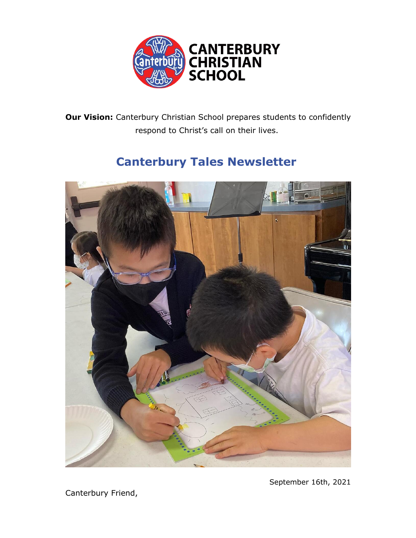

**Our Vision:** Canterbury Christian School prepares students to confidently respond to Christ's call on their lives.

# **Canterbury Tales Newsletter**



September 16th, 2021

Canterbury Friend,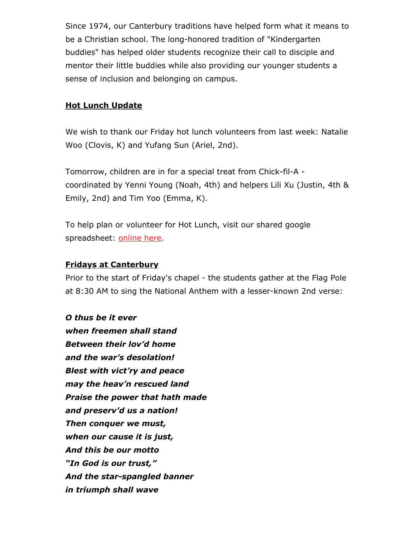Since 1974, our Canterbury traditions have helped form what it means to be a Christian school. The long-honored tradition of "Kindergarten buddies" has helped older students recognize their call to disciple and mentor their little buddies while also providing our younger students a sense of inclusion and belonging on campus.

### **Hot Lunch Update**

We wish to thank our Friday hot lunch volunteers from last week: Natalie Woo (Clovis, K) and Yufang Sun (Ariel, 2nd).

Tomorrow, children are in for a special treat from Chick-fil-A coordinated by Yenni Young (Noah, 4th) and helpers Lili Xu (Justin, 4th & Emily, 2nd) and Tim Yoo (Emma, K).

To help plan or volunteer for Hot Lunch, visit our shared google spreadsheet: online here.

### **Fridays at Canterbury**

Prior to the start of Friday's chapel - the students gather at the Flag Pole at 8:30 AM to sing the National Anthem with a lesser-known 2nd verse:

## *O thus be it ever when freemen shall stand*

*Between their lov'd home and the war's desolation! Blest with vict'ry and peace may the heav'n rescued land Praise the power that hath made and preserv'd us a nation! Then conquer we must, when our cause it is just, And this be our motto "In God is our trust," And the star-spangled banner in triumph shall wave*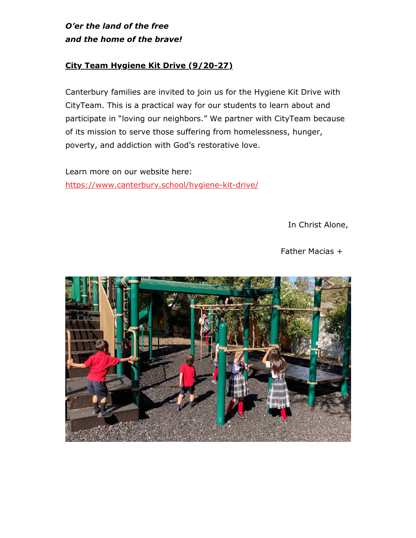*O'er the land of the free and the home of the brave!*

## **City Team Hygiene Kit Drive (9/20-27)**

Canterbury families are invited to join us for the Hygiene Kit Drive with CityTeam. This is a practical way for our students to learn about and participate in "loving our neighbors." We partner with CityTeam because of its mission to serve those suffering from homelessness, hunger, poverty, and addiction with God's restorative love.

Learn more on our website here: https://www.canterbury.school/hygiene-kit-drive/

In Christ Alone,

Father Macias +

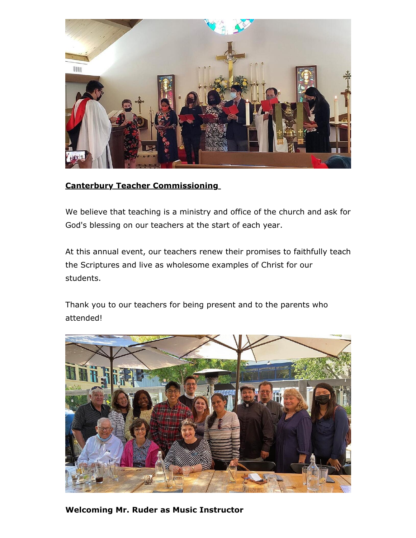

### **Canterbury Teacher Commissioning**

We believe that teaching is a ministry and office of the church and ask for God's blessing on our teachers at the start of each year.

At this annual event, our teachers renew their promises to faithfully teach the Scriptures and live as wholesome examples of Christ for our students.

Thank you to our teachers for being present and to the parents who attended!



**Welcoming Mr. Ruder as Music Instructor**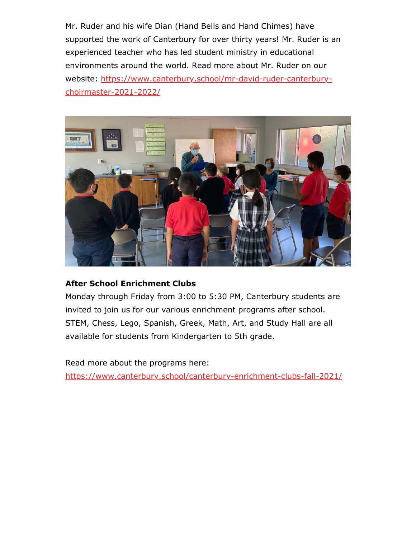Mr. Ruder and his wife Dian (Hand Bells and Hand Chimes) have supported the work of Canterbury for over thirty years! Mr. Ruder is an experienced teacher who has led student ministry in educational environments around the world. Read more about Mr. Ruder on our website: https://www.canterbury.school/mr-david-ruder-canterburychoirmaster-2021-2022/



## **After School Enrichment Clubs**

Monday through Friday from 3:00 to 5:30 PM, Canterbury students are invited to join us for our various enrichment programs after school. STEM, Chess, Lego, Spanish, Greek, Math, Art, and Study Hall are all available for students from Kindergarten to 5th grade.

Read more about the programs here:

https://www.canterbury.school/canterbury-enrichment-clubs-fall-2021/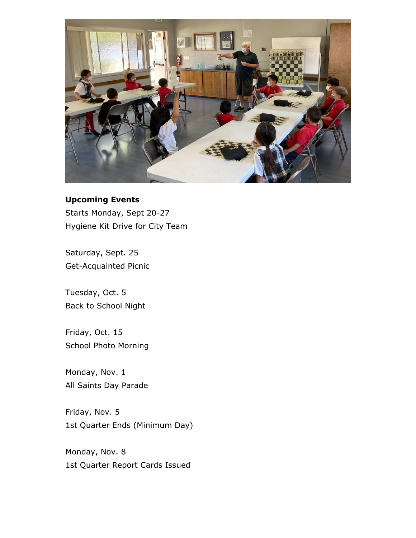

## **Upcoming Events**

Starts Monday, Sept 20-27 Hygiene Kit Drive for City Team

Saturday, Sept. 25 Get-Acquainted Picnic

Tuesday, Oct. 5 Back to School Night

Friday, Oct. 15 School Photo Morning

Monday, Nov. 1 All Saints Day Parade

Friday, Nov. 5 1st Quarter Ends (Minimum Day)

Monday, Nov. 8 1st Quarter Report Cards Issued